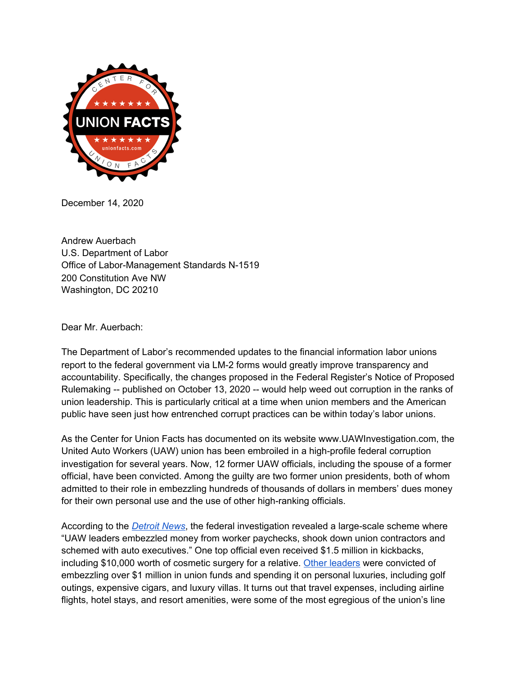

December 14, 2020

Andrew Auerbach U.S. Department of Labor Office of Labor-Management Standards N-1519 200 Constitution Ave NW Washington, DC 20210

Dear Mr. Auerbach:

The Department of Labor's recommended updates to the financial information labor unions report to the federal government via LM-2 forms would greatly improve transparency and accountability. Specifically, the changes proposed in the Federal Register's Notice of Proposed Rulemaking -- published on October 13, 2020 -- would help weed out corruption in the ranks of union leadership. This is particularly critical at a time when union members and the American public have seen just how entrenched corrupt practices can be within today's labor unions.

As the Center for Union Facts has documented on its website www.UAWInvestigation.com, the United Auto Workers (UAW) union has been embroiled in a high-profile federal corruption investigation for several years. Now, 12 former UAW officials, including the spouse of a former official, have been convicted. Among the guilty are two former union presidents, both of whom admitted to their role in embezzling hundreds of thousands of dollars in members' dues money for their own personal use and the use of other high-ranking officials.

According to the *[Detroit](https://www.detroitnews.com/story/business/autos/2020/02/11/uaw-kickbacks-paid-for-cosmetic-surgery-feds-say/4724969002/?fbclid=IwAR2IQjbPt_eolwlcgykN_9Rf5ycGv4dRndU2MaKJoc_hef9NyOH3UW6fBL0) News*, the federal investigation revealed a large-scale scheme where "UAW leaders embezzled money from worker paychecks, shook down union contractors and schemed with auto executives." One top official even received \$1.5 million in kickbacks, including \$10,000 worth of cosmetic surgery for a relative. Other [leaders](https://www.detroitnews.com/story/business/autos/2020/02/07/uaw-scandal-hits-milestone-jones-aide-vance-pearson-strikes-deal/4688604002/) were convicted of embezzling over \$1 million in union funds and spending it on personal luxuries, including golf outings, expensive cigars, and luxury villas. It turns out that travel expenses, including airline flights, hotel stays, and resort amenities, were some of the most egregious of the union's line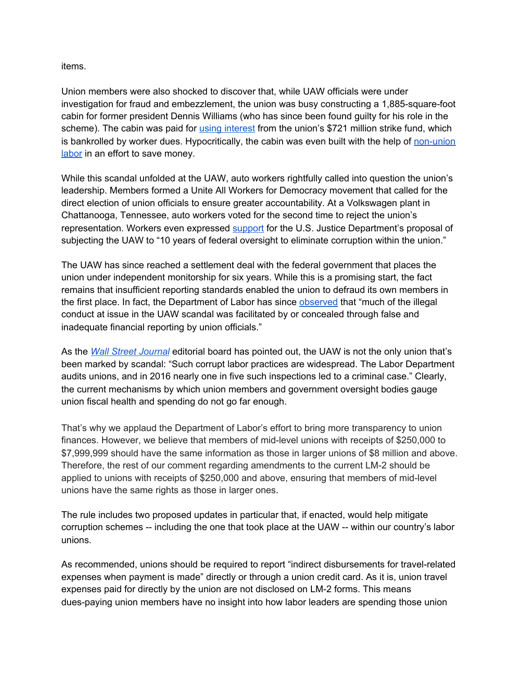## items.

Union members were also shocked to discover that, while UAW officials were under investigation for fraud and embezzlement, the union was busy constructing a 1,885-square-foot cabin for former president Dennis Williams (who has since been found guilty for his role in the scheme). The cabin was paid for using [interest](https://www.detroitnews.com/story/news/local/detroit-city/2018/11/01/uaw-uses-non-union-labor-construction-home-resort-spot/1811055002/) from the union's \$721 million strike fund, which is bankrolled by worker dues. Hypocritically, the cabin was even built with the help of [non-union](https://www.detroitnews.com/story/news/local/detroit-city/2018/11/01/uaw-uses-non-union-labor-construction-home-resort-spot/1811055002/) [labor](https://www.detroitnews.com/story/news/local/detroit-city/2018/11/01/uaw-uses-non-union-labor-construction-home-resort-spot/1811055002/) in an effort to save money.

While this scandal unfolded at the UAW, auto workers rightfully called into question the union's leadership. Members formed a Unite All Workers for Democracy movement that called for the direct election of union officials to ensure greater accountability. At a Volkswagen plant in Chattanooga, Tennessee, auto workers voted for the second time to reject the union's representation. Workers even expressed [support](https://www.detroitnews.com/story/business/autos/2020/08/27/ex-uaw-boss-ex-uaw-boss-williams-charged-in-racketeering-scand-williams-charged-racketeering-scandal/5642204002/) for the U.S. Justice Department's proposal of subjecting the UAW to "10 years of federal oversight to eliminate corruption within the union."

The UAW has since reached a settlement deal with the federal government that places the union under independent monitorship for six years. While this is a promising start, the fact remains that insufficient reporting standards enabled the union to defraud its own members in the first place. In fact, the Department of Labor has since [observed](https://www.natlawreview.com/article/dol-proposes-changes-to-financial-reporting-requirements-largest-and-most-prominent) that "much of the illegal conduct at issue in the UAW scandal was facilitated by or concealed through false and inadequate financial reporting by union officials."

As the *Wall Street [Journal](https://www.wsj.com/articles/big-labors-big-crooksbig-labors-big-crooks-11583450481?mod=opinion_lead_pos1)* editorial board has [pointed](https://www.wsj.com/articles/big-labors-big-crooksbig-labors-big-crooks-11583450481?mod=opinion_lead_pos1) out, the UAW is not the only union that's been marked by scandal: "Such corrupt labor practices are widespread. The Labor Department audits unions, and in 2016 nearly one in five such inspections led to a criminal case." Clearly, the current mechanisms by which union members and government oversight bodies gauge union fiscal health and spending do not go far enough.

That's why we applaud the Department of Labor's effort to bring more transparency to union finances. However, we believe that members of mid-level unions with receipts of \$250,000 to \$7,999,999 should have the same information as those in larger unions of \$8 million and above. Therefore, the rest of our comment regarding amendments to the current LM-2 should be applied to unions with receipts of \$250,000 and above, ensuring that members of mid-level unions have the same rights as those in larger ones.

The rule includes two proposed updates in particular that, if enacted, would help mitigate corruption schemes -- including the one that took place at the UAW -- within our country's labor unions.

As recommended, unions should be required to report "indirect disbursements for travel-related expenses when payment is made" directly or through a union credit card. As it is, union travel expenses paid for directly by the union are not disclosed on LM-2 forms. This means dues-paying union members have no insight into how labor leaders are spending those union